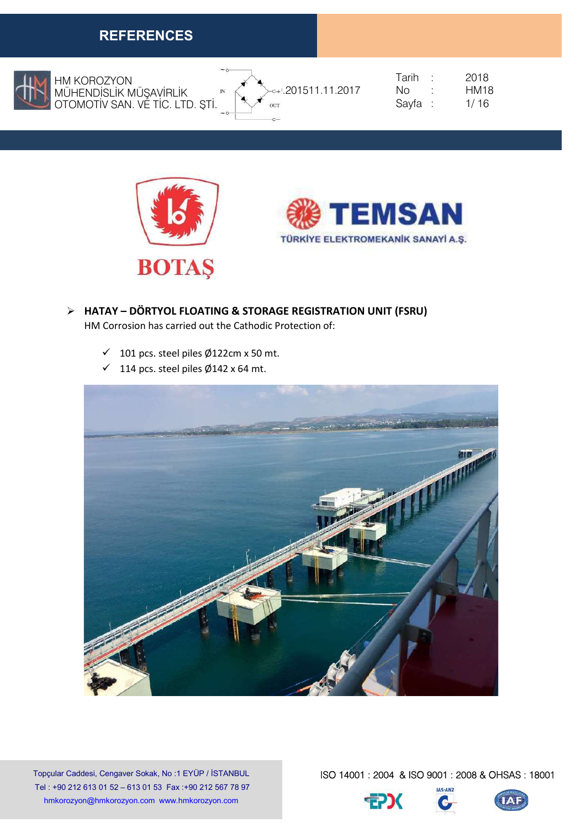

HM KOROZYON MÜHENDİSLİK MÜŞAVİRLİK OTOMOTİV SAN. VE TİC. LTD. ŞTİ.



| Tarih | 2018 |
|-------|------|
| Nο    | HM18 |
| Sayfa | 1/16 |





- HATAY DÖRTYOL FLOATING & STORAGE REGISTRATION UNIT (FSRU) HM Corrosion has carried out the Cathodic Protection of:
	- $\checkmark$  101 pcs. steel piles Ø122cm x 50 mt.
	- $\checkmark$  114 pcs. steel piles Ø142 x 64 mt.



Topçular Caddesi, Cengaver Sokak, No :1 EYÜP / İSTANBUL Tel : +90 212 613 01 52 – 613 01 53 Fax :+90 212 567 78 97 hmkorozyon@hmkorozyon.com www.hmkorozyon.com



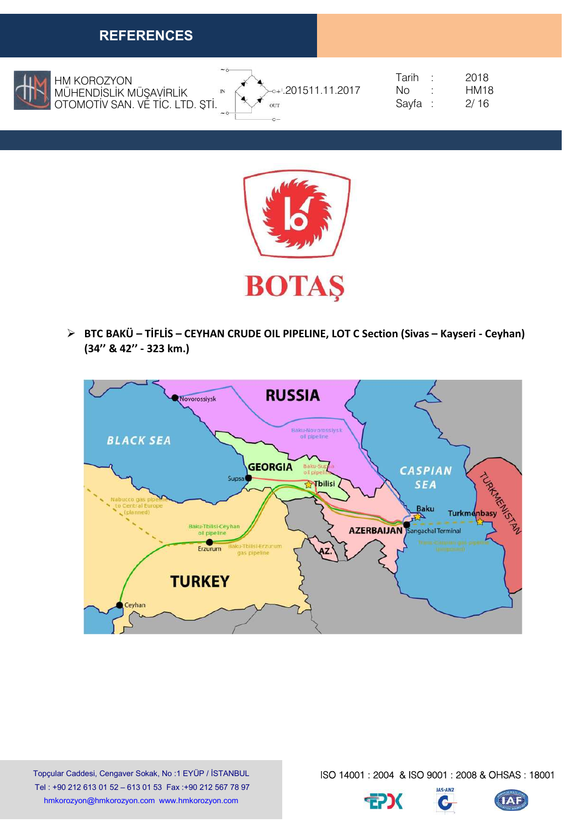

HM KOROZYON MÜHENDİSLİK MÜŞAVİRLİK OTOMOTİV SAN. VE TİC. LTD. ŞTİ.



|                | Tarih   | 2018        |
|----------------|---------|-------------|
| 201511.11.2017 | NΩ      | <b>HM18</b> |
|                | Sayfa : | 2/16        |



 $\triangleright$  BTC BAKÜ – TİFLİS – CEYHAN CRUDE OIL PIPELINE, LOT C Section (Sivas – Kayseri - Ceyhan) (34'' & 42'' - 323 km.)



Topçular Caddesi, Cengaver Sokak, No :1 EYÜP / İSTANBUL Tel : +90 212 613 01 52 – 613 01 53 Fax :+90 212 567 78 97 hmkorozyon@hmkorozyon.com www.hmkorozyon.com

ISO 14001 : 2004 & ISO 9001 : 2008 & OHSAS : 18001

 $\bullet$ 



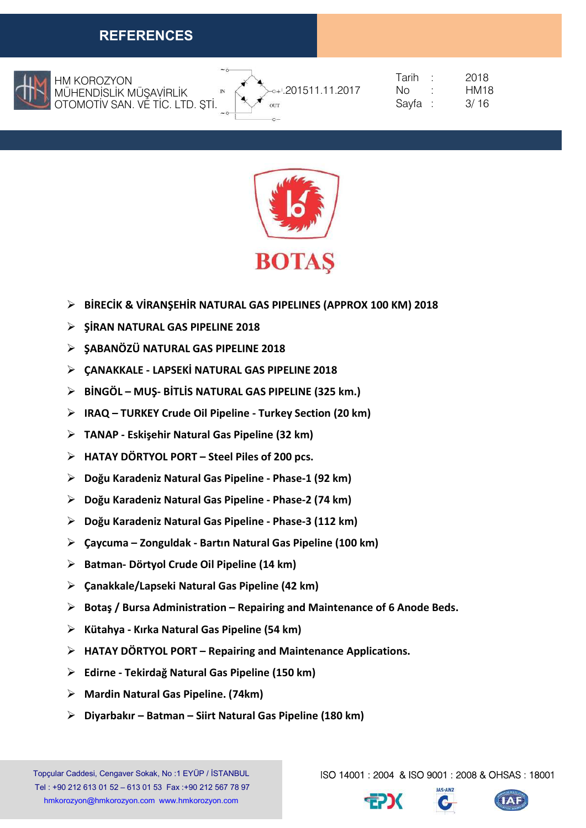

 OTOMOTİV SAN. VE TİC. LTD. ŞTİ. HM KOROZYON MÜHENDİSLİK MÜŞAVİRLİK



| Tarih | 2018 |
|-------|------|
| Nο    | HM18 |
| Sayfa | 3/16 |



- $\triangleright$  BİRECİK & VİRANSEHİR NATURAL GAS PIPELINES (APPROX 100 KM) 2018
- $\triangleright$  SIRAN NATURAL GAS PIPELINE 2018
- $\triangleright$  SABANÖZÜ NATURAL GAS PIPELINE 2018
- $\triangleright$  CANAKKALE LAPSEKİ NATURAL GAS PIPELINE 2018
- $\triangleright$  BINGÖL MUS- BITLIS NATURAL GAS PIPELINE (325 km.)
- IRAQ TURKEY Crude Oil Pipeline Turkey Section (20 km)
- TANAP Eskişehir Natural Gas Pipeline (32 km)
- $\triangleright$  HATAY DÖRTYOL PORT Steel Piles of 200 pcs.
- Doğu Karadeniz Natural Gas Pipeline Phase-1 (92 km)
- Doğu Karadeniz Natural Gas Pipeline Phase-2 (74 km)
- Doğu Karadeniz Natural Gas Pipeline Phase-3 (112 km)
- Çaycuma Zonguldak Bartın Natural Gas Pipeline (100 km)
- $\triangleright$  Batman- Dörtyol Crude Oil Pipeline (14 km)
- $\triangleright$  Canakkale/Lapseki Natural Gas Pipeline (42 km)
- $\triangleright$  Botaş / Bursa Administration Repairing and Maintenance of 6 Anode Beds.
- $\triangleright$  Kütahya Kırka Natural Gas Pipeline (54 km)
- $\triangleright$  HATAY DÖRTYOL PORT Repairing and Maintenance Applications.
- Edirne Tekirdağ Natural Gas Pipeline (150 km)
- $\triangleright$  Mardin Natural Gas Pipeline. (74km)
- $\triangleright$  Diyarbakır Batman Siirt Natural Gas Pipeline (180 km)

Topçular Caddesi, Cengaver Sokak, No :1 EYÜP / İSTANBUL Tel : +90 212 613 01 52 – 613 01 53 Fax :+90 212 567 78 97 hmkorozyon@hmkorozyon.com www.hmkorozyon.com



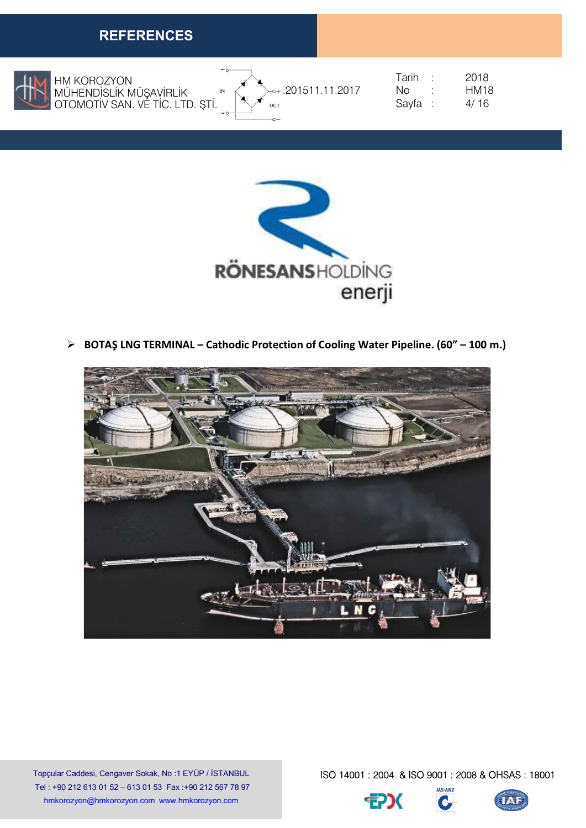

HM KOROZYON MÜHENDİSLİK MÜŞAVİRLİK OTOMOTİV SAN. VE TİC. LTD. ŞTİ.



| Tarih | 2018 |
|-------|------|
| Nο    | HM18 |
| Sayfa | 4/16 |



BOTAŞ LNG TERMINAL – Cathodic Protection of Cooling Water Pipeline. (60" – 100 m.)



Topçular Caddesi, Cengaver Sokak, No :1 EYÜP / İSTANBUL Tel : +90 212 613 01 52 – 613 01 53 Fax :+90 212 567 78 97 hmkorozyon@hmkorozyon.com www.hmkorozyon.com



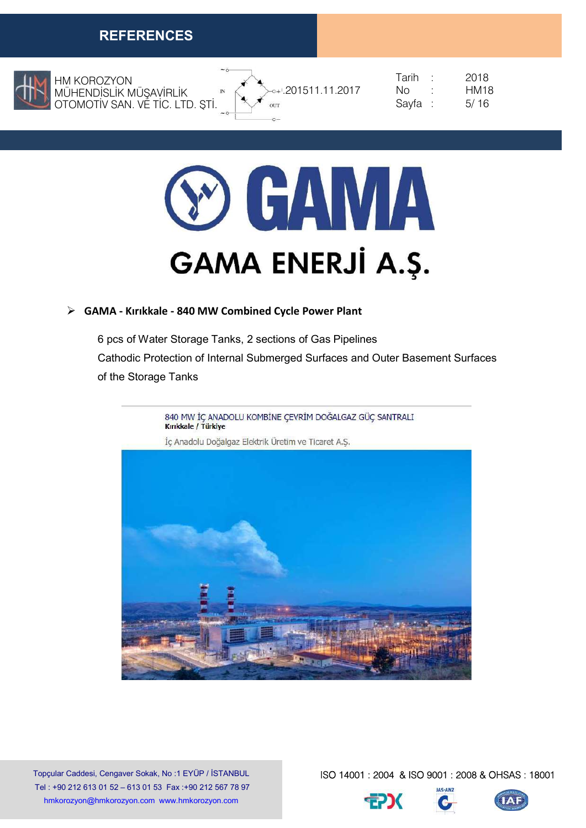

HM KOROZYON MÜHENDİSLİK MÜŞAVİRLİK OTOMOTİV SAN. VE TİC. LTD. ŞTİ.







#### GAMA - Kırıkkale - 840 MW Combined Cycle Power Plant

6 pcs of Water Storage Tanks, 2 sections of Gas Pipelines Cathodic Protection of Internal Submerged Surfaces and Outer Basement Surfaces of the Storage Tanks



Topçular Caddesi, Cengaver Sokak, No :1 EYÜP / İSTANBUL Tel : +90 212 613 01 52 – 613 01 53 Fax :+90 212 567 78 97 hmkorozyon@hmkorozyon.com www.hmkorozyon.com



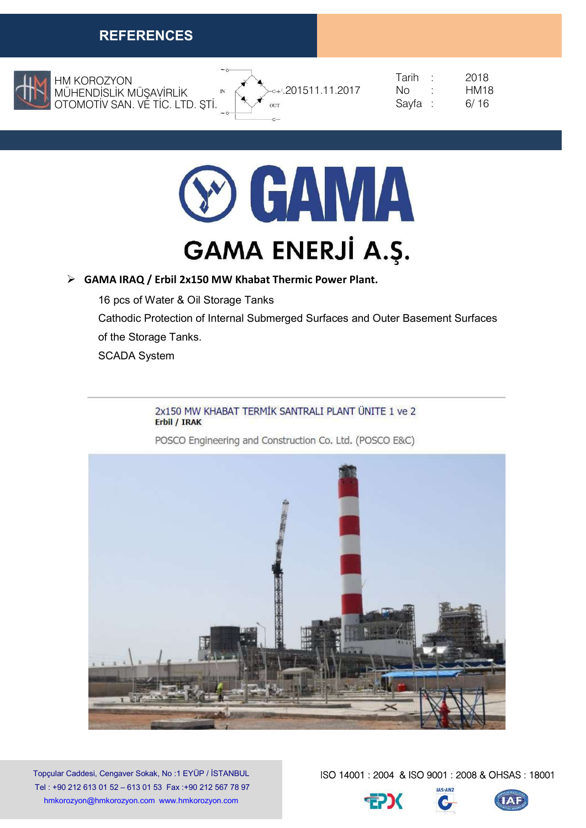

HM KOROZYON MÜHENDİSLİK MÜŞAVİRLİK OTOMOTİV SAN. VE TİC. LTD. ŞTİ.



|                | Tarih   | 2018 |
|----------------|---------|------|
| 201511.11.2017 | Nη      | HM18 |
|                | Sayfa : | 6/16 |



#### GAMA IRAQ / Erbil 2x150 MW Khabat Thermic Power Plant.

16 pcs of Water & Oil Storage Tanks Cathodic Protection of Internal Submerged Surfaces and Outer Basement Surfaces of the Storage Tanks.

SCADA System

#### 2x150 MW KHABAT TERMİK SANTRALI PLANT ÜNITE 1 ve 2 **Erbil / IRAK**

POSCO Engineering and Construction Co. Ltd. (POSCO E&C)



Topçular Caddesi, Cengaver Sokak, No :1 EYÜP / İSTANBUL Tel : +90 212 613 01 52 – 613 01 53 Fax :+90 212 567 78 97 hmkorozyon@hmkorozyon.com www.hmkorozyon.com



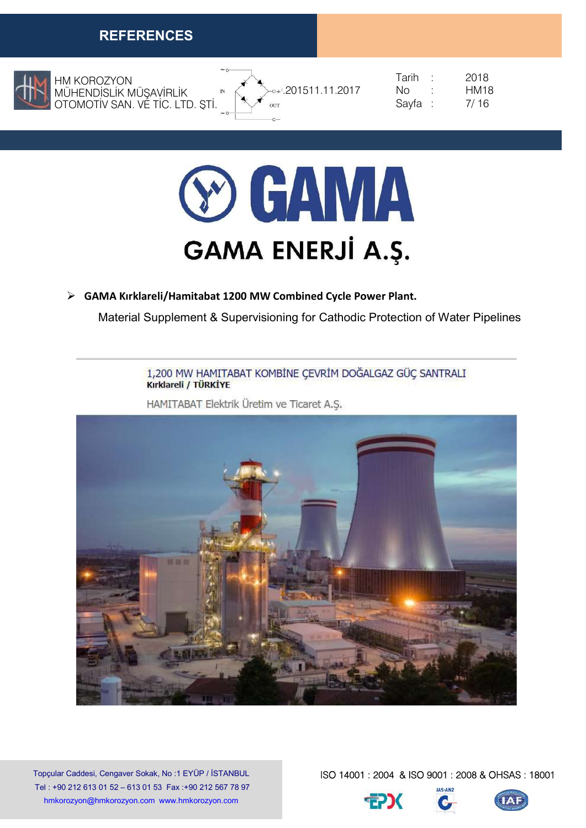

HM KOROZYON MÜHENDİSLİK MÜŞAVİRLİK OTOMOTİV SAN. VE TİC. LTD. ŞTİ.



 $\sqrt{11}$  . 201511.11.2017 No : HM18

 Tarih : 2018 Savfa : 7/16



#### GAMA Kırklareli/Hamitabat 1200 MW Combined Cycle Power Plant.

Material Supplement & Supervisioning for Cathodic Protection of Water Pipelines

1,200 MW HAMITABAT KOMBİNE ÇEVRİM DOĞALGAZ GÜÇ SANTRALI Kırklareli / TÜRKİYE

HAMITABAT Elektrik Üretim ve Ticaret A.S.



Topçular Caddesi, Cengaver Sokak, No :1 EYÜP / İSTANBUL Tel : +90 212 613 01 52 – 613 01 53 Fax :+90 212 567 78 97 hmkorozyon@hmkorozyon.com www.hmkorozyon.com



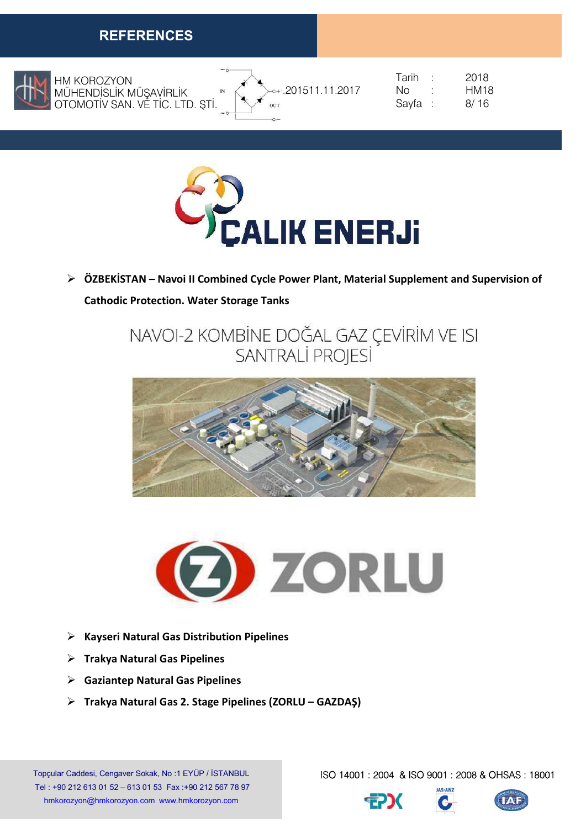

HM KOROZYON MÜHENDİSLİK MÜŞAVİRLİK OTOMOTİV SAN. VE TİC. LTD. ŞTİ.



|                                | Tarihi  | 2018        |
|--------------------------------|---------|-------------|
| 201511.11.2017<br>$\mathbb{N}$ | NΩ      | <b>HM18</b> |
|                                | Sayfa : | 8/16        |



 ÖZBEKİSTAN – Navoi II Combined Cycle Power Plant, Material Supplement and Supervision of Cathodic Protection. Water Storage Tanks

> NAVOI-2 KOMBİNE DOĞAL GAZ ÇEVİRİM VE ISI **SANTRALİ PROJESİ**





- $\triangleright$  Kayseri Natural Gas Distribution Pipelines
- $\triangleright$  Trakya Natural Gas Pipelines
- $\triangleright$  Gaziantep Natural Gas Pipelines
- $\triangleright$  Trakya Natural Gas 2. Stage Pipelines (ZORLU GAZDAŞ)

Topçular Caddesi, Cengaver Sokak, No :1 EYÜP / İSTANBUL Tel : +90 212 613 01 52 – 613 01 53 Fax :+90 212 567 78 97 hmkorozyon@hmkorozyon.com www.hmkorozyon.com



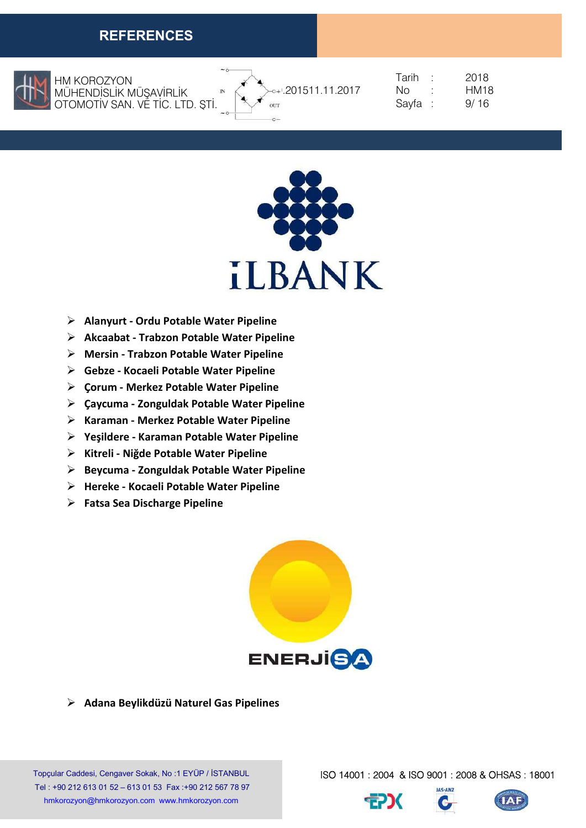

 OTOMOTİV SAN. VE TİC. LTD. ŞTİ. HM KOROZYON MÜHENDİSLİK MÜŞAVİRLİK



| Tarih | 2018        |
|-------|-------------|
| Nο    | <b>HM18</b> |
| Sayfa | 9/16        |



- $\triangleright$  Alanyurt Ordu Potable Water Pipeline
- $\triangleright$  Akcaabat Trabzon Potable Water Pipeline
- $\triangleright$  Mersin Trabzon Potable Water Pipeline
- Gebze Kocaeli Potable Water Pipeline
- $\triangleright$  Corum Merkez Potable Water Pipeline
- $\triangleright$  Caycuma Zonguldak Potable Water Pipeline
- $\triangleright$  Karaman Merkez Potable Water Pipeline
- Yeşildere Karaman Potable Water Pipeline
- ▶ Kitreli Niğde Potable Water Pipeline
- $\triangleright$  Beycuma Zonguldak Potable Water Pipeline
- $\triangleright$  Hereke Kocaeli Potable Water Pipeline
- $\triangleright$  Fatsa Sea Discharge Pipeline



 $\triangleright$  Adana Beylikdüzü Naturel Gas Pipelines

Topçular Caddesi, Cengaver Sokak, No :1 EYÜP / İSTANBUL Tel : +90 212 613 01 52 – 613 01 53 Fax :+90 212 567 78 97 hmkorozyon@hmkorozyon.com www.hmkorozyon.com



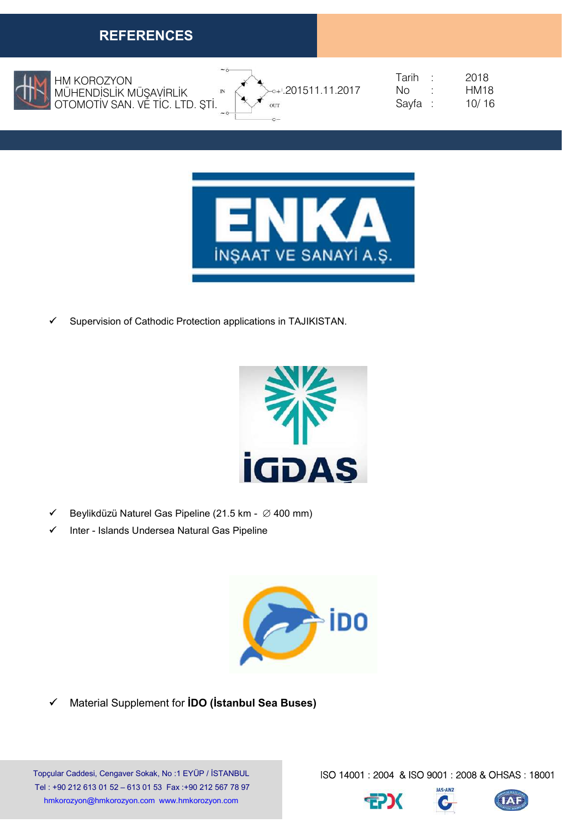

HM KOROZYON MÜHENDİSLİK MÜŞAVİRLİK OTOMOTİV SAN. VE TİC. LTD. ŞTİ.





|                                | Tarih   | 2018             |
|--------------------------------|---------|------------------|
| $\rightarrow$ - 201511.11.2017 | Nη      | HM <sub>18</sub> |
|                                | Sayfa : | 10/16            |



Supervision of Cathodic Protection applications in TAJIKISTAN.



- $\checkmark$  Beylikdüzü Naturel Gas Pipeline (21.5 km  $\varnothing$  400 mm)
- Inter Islands Undersea Natural Gas Pipeline



 $\checkmark$  Material Supplement for **IDO** (**istanbul Sea Buses**)

Topçular Caddesi, Cengaver Sokak, No :1 EYÜP / İSTANBUL Tel : +90 212 613 01 52 – 613 01 53 Fax :+90 212 567 78 97 hmkorozyon@hmkorozyon.com www.hmkorozyon.com



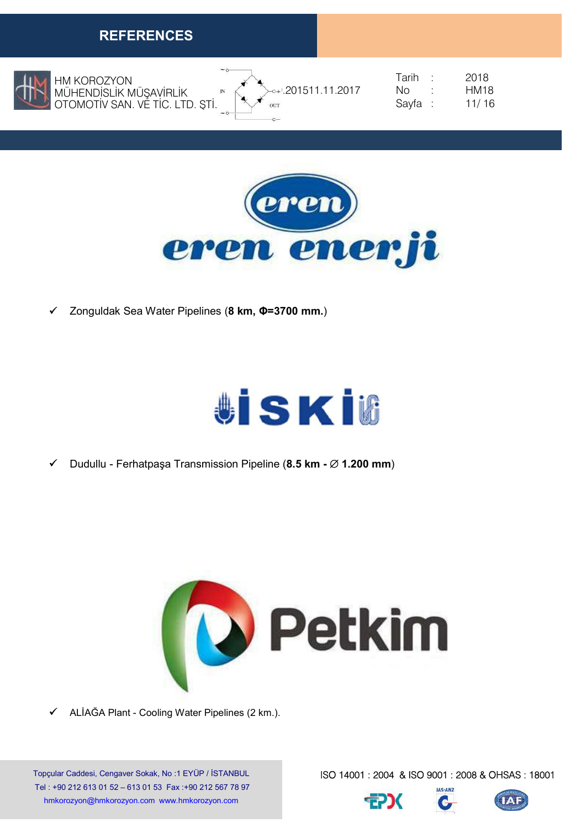

HM KOROZYON MÜHENDİSLİK MÜŞAVİRLİK OTOMOTİV SAN. VE TİC. LTD. ŞTİ.



|                | Tarih   | 2018             |
|----------------|---------|------------------|
| 201511.11.2017 | Nn.     | HM <sub>18</sub> |
|                | Sayfa : | 11/16            |



Zonguldak Sea Water Pipelines (8 km, Φ=3700 mm.)



 $\checkmark$  Dudullu - Ferhatpaşa Transmission Pipeline (8.5 km -  $\varnothing$  1.200 mm)



 $\checkmark$  ALIAĞA Plant - Cooling Water Pipelines (2 km.).

Topçular Caddesi, Cengaver Sokak, No :1 EYÜP / İSTANBUL Tel : +90 212 613 01 52 – 613 01 53 Fax :+90 212 567 78 97 hmkorozyon@hmkorozyon.com www.hmkorozyon.com





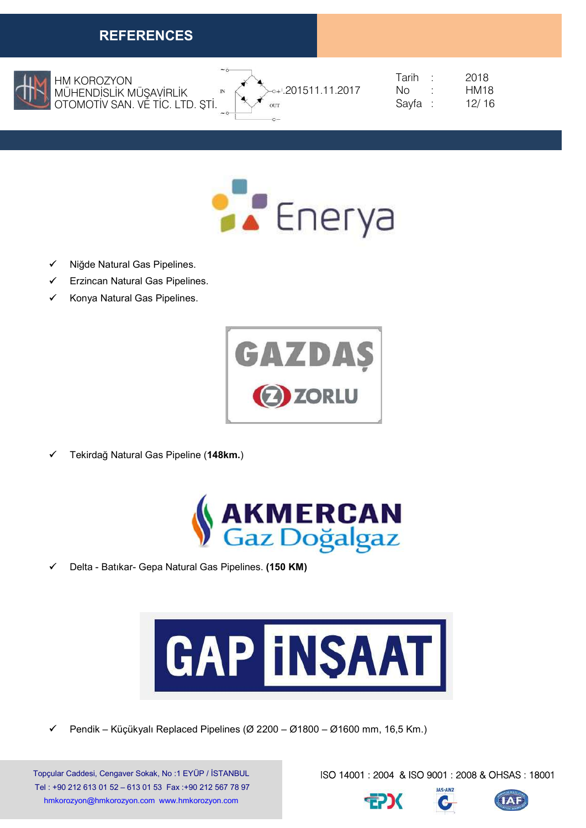

HM KOROZYON MÜHENDİSLİK MÜŞAVİRLİK OTOMOTİV SAN. VE TİC. LTD. ŞTİ.



| Tarih | 2018        |
|-------|-------------|
| Nο    | <b>HM18</b> |
| Sayfa | 12/16       |



- Niğde Natural Gas Pipelines.
- Erzincan Natural Gas Pipelines.
- Konya Natural Gas Pipelines.



Tekirdağ Natural Gas Pipeline (148km.)



Delta - Batıkar- Gepa Natural Gas Pipelines. (150 KM)



Pendik – Küçükyalı Replaced Pipelines (Ø 2200 – Ø1800 – Ø1600 mm, 16,5 Km.)

Topçular Caddesi, Cengaver Sokak, No :1 EYÜP / İSTANBUL Tel : +90 212 613 01 52 – 613 01 53 Fax :+90 212 567 78 97 hmkorozyon@hmkorozyon.com www.hmkorozyon.com

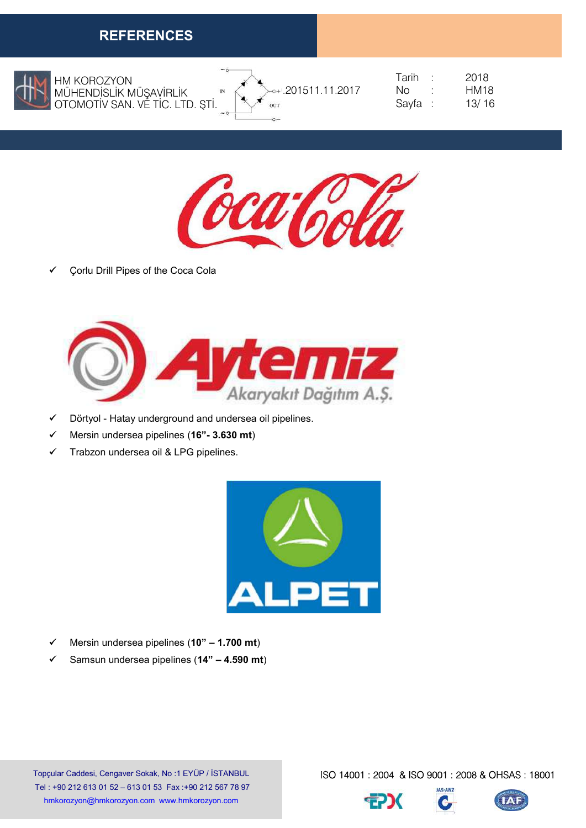

HM KOROZYON MÜHENDİSLİK MÜŞAVİRLİK OTOMOTİV SAN. VE TİC. LTD. ŞTİ.



|              |                              | Tarih  | 2018             |
|--------------|------------------------------|--------|------------------|
| $\mathbb{N}$ | $\rightarrow$ 201511.11.2017 | NΩ     | HM <sub>18</sub> |
|              |                              | Sayfa: | 13/16            |



Çorlu Drill Pipes of the Coca Cola



- Dörtyol Hatay underground and undersea oil pipelines.
- $\checkmark$  Mersin undersea pipelines (16"- 3.630 mt)
- $\checkmark$  Trabzon undersea oil & LPG pipelines.



- $\checkmark$  Mersin undersea pipelines (10" 1.700 mt)
- $\checkmark$  Samsun undersea pipelines (14" 4.590 mt)

Topçular Caddesi, Cengaver Sokak, No :1 EYÜP / İSTANBUL Tel : +90 212 613 01 52 – 613 01 53 Fax :+90 212 567 78 97 hmkorozyon@hmkorozyon.com www.hmkorozyon.com



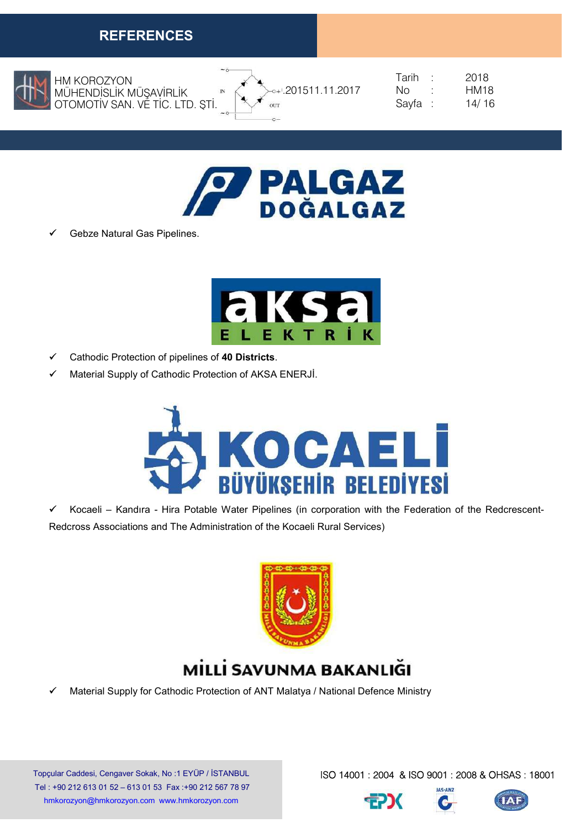

 OTOMOTİV SAN. VE TİC. LTD. ŞTİ. HM KOROZYON MÜHENDİSLİK MÜŞAVİRLİK



|                              | Tarih   | 2018  |
|------------------------------|---------|-------|
| $\rightarrow$ 201511.11.2017 | No.     | HM18  |
|                              | Sayfa : | 14/16 |



Gebze Natural Gas Pipelines.



- $\checkmark$  Cathodic Protection of pipelines of 40 Districts.
- $\checkmark$  Material Supply of Cathodic Protection of AKSA ENERJİ.



 $\checkmark$  Kocaeli – Kandıra - Hira Potable Water Pipelines (in corporation with the Federation of the Redcrescent-Redcross Associations and The Administration of the Kocaeli Rural Services)



# MİLLİ SAVUNMA BAKANLIĞI

Material Supply for Cathodic Protection of ANT Malatya / National Defence Ministry

Topçular Caddesi, Cengaver Sokak, No :1 EYÜP / İSTANBUL Tel : +90 212 613 01 52 – 613 01 53 Fax :+90 212 567 78 97 hmkorozyon@hmkorozyon.com www.hmkorozyon.com



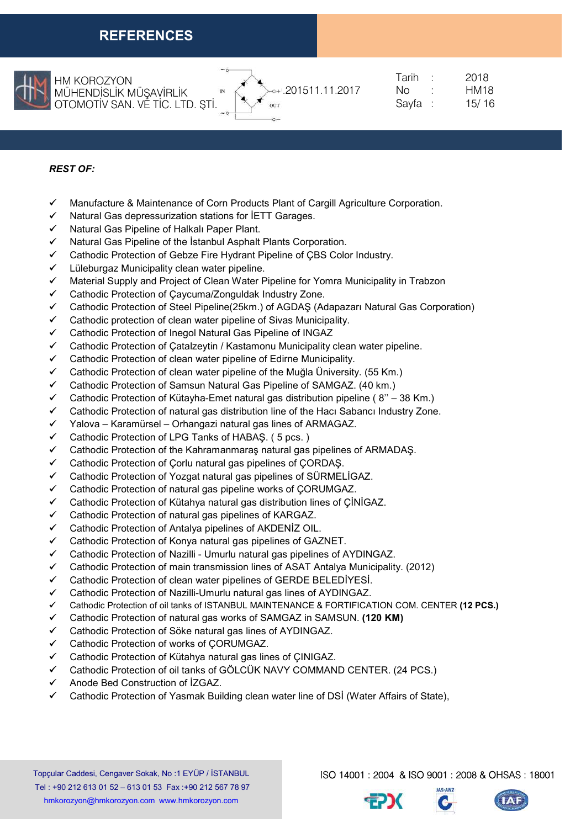

 OTOMOTİV SAN. VE TİC. LTD. ŞTİ. HM KOROZYON MÜHENDİSLİK MÜŞAVİRLİK



|                                | Tarih   | 2018             |
|--------------------------------|---------|------------------|
| $\rightarrow$ - 201511.11.2017 | Nη      | HM <sub>18</sub> |
|                                | Sayfa : | 15/16            |

#### REST OF:

- $\checkmark$  Manufacture & Maintenance of Corn Products Plant of Cargill Agriculture Corporation.
- $\checkmark$  Natural Gas depressurization stations for IETT Garages.
- Natural Gas Pipeline of Halkalı Paper Plant.
- Natural Gas Pipeline of the İstanbul Asphalt Plants Corporation.
- Cathodic Protection of Gebze Fire Hydrant Pipeline of ÇBS Color Industry.
- Lüleburgaz Municipality clean water pipeline.
- $\checkmark$  Material Supply and Project of Clean Water Pipeline for Yomra Municipality in Trabzon
- Cathodic Protection of Çaycuma/Zonguldak Industry Zone.
- Cathodic Protection of Steel Pipeline(25km.) of AGDAŞ (Adapazarı Natural Gas Corporation)
- $\checkmark$  Cathodic protection of clean water pipeline of Sivas Municipality.
- Cathodic Protection of Inegol Natural Gas Pipeline of INGAZ
- $\checkmark$  Cathodic Protection of Catalzeytin / Kastamonu Municipality clean water pipeline.
- $\checkmark$  Cathodic Protection of clean water pipeline of Edirne Municipality.
- Cathodic Protection of clean water pipeline of the Muğla Üniversity. (55 Km.)
- Cathodic Protection of Samsun Natural Gas Pipeline of SAMGAZ. (40 km.)
- Cathodic Protection of Kütayha-Emet natural gas distribution pipeline ( 8'' 38 Km.)
- Cathodic Protection of natural gas distribution line of the Hacı Sabancı Industry Zone.
- $\checkmark$  Yalova Karamürsel Orhangazi natural gas lines of ARMAGAZ.
- Cathodic Protection of LPG Tanks of HABAŞ. ( 5 pcs. )
- Cathodic Protection of the Kahramanmaraş natural gas pipelines of ARMADAŞ.
- Cathodic Protection of Çorlu natural gas pipelines of ÇORDAŞ.
- Cathodic Protection of Yozgat natural gas pipelines of SÜRMELİGAZ.
- Cathodic Protection of natural gas pipeline works of ÇORUMGAZ.
- Cathodic Protection of Kütahya natural gas distribution lines of ÇİNİGAZ.
- $\checkmark$  Cathodic Protection of natural gas pipelines of KARGAZ.
- Cathodic Protection of Antalya pipelines of AKDENİZ OIL.
- Cathodic Protection of Konya natural gas pipelines of GAZNET.
- Cathodic Protection of Nazilli Umurlu natural gas pipelines of AYDINGAZ.
- $\checkmark$  Cathodic Protection of main transmission lines of ASAT Antalya Municipality. (2012)
- Cathodic Protection of clean water pipelines of GERDE BELEDİYESİ.
- Cathodic Protection of Nazilli-Umurlu natural gas lines of AYDINGAZ.
- Cathodic Protection of oil tanks of ISTANBUL MAINTENANCE & FORTIFICATION COM. CENTER (12 PCS.)
- Cathodic Protection of natural gas works of SAMGAZ in SAMSUN. (120 KM)
- Cathodic Protection of Söke natural gas lines of AYDINGAZ.
- Cathodic Protection of works of ÇORUMGAZ.
- Cathodic Protection of Kütahya natural gas lines of ÇINIGAZ.
- Cathodic Protection of oil tanks of GÖLCÜK NAVY COMMAND CENTER. (24 PCS.)
- Anode Bed Construction of İZGAZ.
- Cathodic Protection of Yasmak Building clean water line of DSİ (Water Affairs of State),